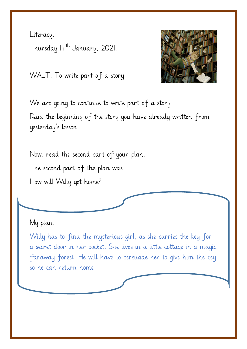Literacy. Thursday  $I_+$ <sup>th</sup> January, 2021.

WALT: To write part of a story.



We are going to continue to write part of a story. Read the beginning of the story you have already written from yesterday's lesson.

Now, read the second part of your plan. The second part of the plan was… How will Willy get home?

## My plan.

Willy has to find the mysterious girl, as she carries the key for a secret door in her pocket. She lives in a little cottage in a magic faraway forest. He will have to persuade her to give him the key so he can return home.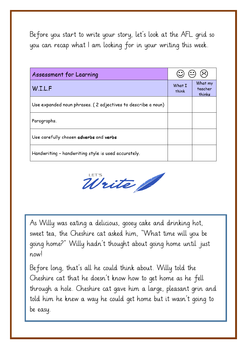Before you start to write your story, let's look at the AFL grid so you can recap what I am looking for in your writing this week.

| Assessment for Learning                                      | $\circledcirc$ $\circledcirc$ $\circledcirc$ |                              |
|--------------------------------------------------------------|----------------------------------------------|------------------------------|
| W.I.L.F                                                      | What I<br>think                              | What my<br>teacher<br>thinks |
| Use expanded noun phrases. (2 adjectives to describe a noun) |                                              |                              |
| Paragraphs.                                                  |                                              |                              |
| Use carefully chosen adverbs and verbs                       |                                              |                              |
| Handwriting - handwriting style is used accurately.          |                                              |                              |



As Willy was eating a delicious, gooey cake and drinking hot, sweet tea, the Cheshire cat asked him, "What time will you be going home?" Willy hadn't thought about going home until just now!

Before long, that's all he could think about. Willy told the Cheshire cat that he doesn't know how to get home as he fell through a hole. Cheshire cat gave him a large, pleasant grin and told him he knew a way he could get home but it wasn't going to be easy.